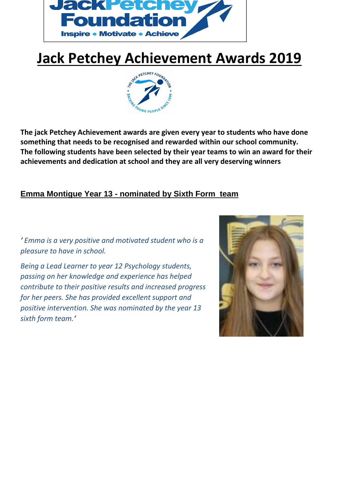

# **Jack Petchey Achievement Awards 2019**



**The jack Petchey Achievement awards are given every year to students who have done something that needs to be recognised and rewarded within our school community. The following students have been selected by their year teams to win an award for their achievements and dedication at school and they are all very deserving winners** 

## **Emma Montigue Year 13 - nominated by Sixth Form team**

*' Emma is a very positive and motivated student who is a pleasure to have in school.*

*Being a Lead Learner to year 12 Psychology students, passing on her knowledge and experience has helped contribute to their positive results and increased progress for her peers. She has provided excellent support and positive intervention. She was nominated by the year 13 sixth form team.'*